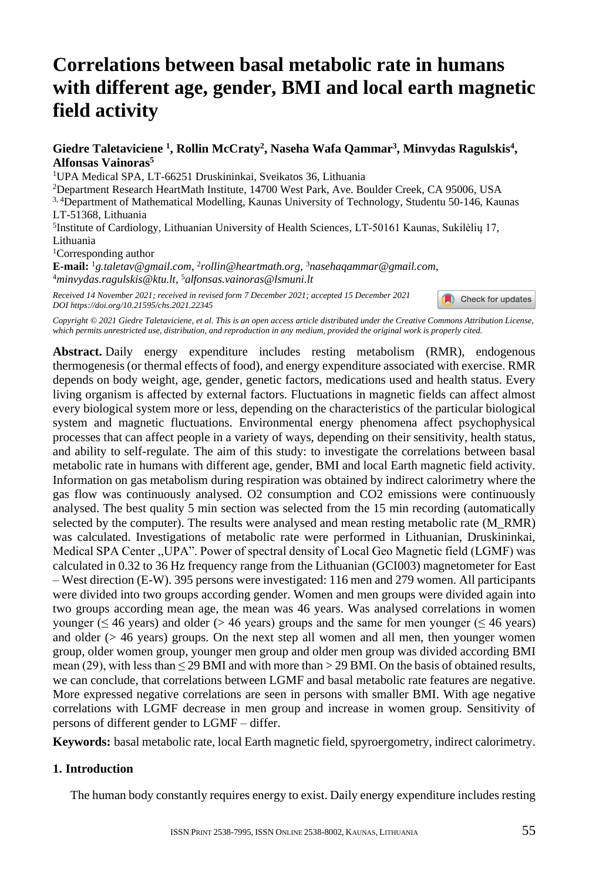# **Correlations between basal metabolic rate in humans with different age, gender, BMI and local earth magnetic field activity**

Giedre Taletaviciene<sup>1</sup>, Rollin McCraty<sup>2</sup>, Naseha Wafa Qammar<sup>3</sup>, Minvydas Ragulskis<sup>4</sup>, **Alfonsas Vainoras<sup>5</sup>**

<sup>1</sup>UPA Medical SPA, LT-66251 Druskininkai, Sveikatos 36, Lithuania

<sup>2</sup>Department Research HeartMath Institute, 14700 West Park, Ave. Boulder Creek, CA 95006, USA 3, 4Department of Mathematical Modelling, Kaunas University of Technology, Studen[tu 50-146, Kaunas](https://crossmark.crossref.org/dialog/?doi=10.21595/chs.2021.22345&domain=pdf&date_stamp=2021-12-23)  LT-51368, Lithuania

5 Institute of Cardiology, Lithuanian University of Health Sciences, LT-50161 Kaunas, Sukilėlių 17, Lithuania <sup>1</sup>Corresponding author

**E-mail:** <sup>1</sup>*g.taletav@gmail.com*, 2 *rollin@heartmath.org*, <sup>3</sup>*nasehaqammar@gmail.com*, <sup>4</sup>*minvydas.ragulskis@ktu.lt*, <sup>5</sup>*alfonsas.vainoras@lsmuni.lt*

*Received 14 November 2021; received in revised form 7 December 2021; accepted 15 December 2021 DOI https://doi.org/10.21595/chs.2021.22345*

Check for updates

*Copyright © 2021 Giedre Taletaviciene, et al. This is an open access article distributed under the Creative Commons Attribution License, which permits unrestricted use, distribution, and reproduction in any medium, provided the original work is properly cited.*

**Abstract.** Daily energy expenditure includes resting metabolism (RMR), endogenous thermogenesis (or thermal effects of food), and energy expenditure associated with exercise. RMR depends on body weight, age, gender, genetic factors, medications used and health status. Every living organism is affected by external factors. Fluctuations in magnetic fields can affect almost every biological system more or less, depending on the characteristics of the particular biological system and magnetic fluctuations. Environmental energy phenomena affect psychophysical processes that can affect people in a variety of ways, depending on their sensitivity, health status, and ability to self-regulate. The aim of this study: to investigate the correlations between basal metabolic rate in humans with different age, gender, BMI and local Earth magnetic field activity. Information on gas metabolism during respiration was obtained by indirect calorimetry where the gas flow was continuously analysed. O2 consumption and CO2 emissions were continuously analysed. The best quality 5 min section was selected from the 15 min recording (automatically selected by the computer). The results were analysed and mean resting metabolic rate (M\_RMR) was calculated. Investigations of metabolic rate were performed in Lithuanian, Druskininkai, Medical SPA Center ,,UPA". Power of spectral density of Local Geo Magnetic field (LGMF) was calculated in 0.32 to 36 Hz frequency range from the Lithuanian (GCI003) magnetometer for East – West direction (E-W). 395 persons were investigated: 116 men and 279 women. All participants were divided into two groups according gender. Women and men groups were divided again into two groups according mean age, the mean was 46 years. Was analysed correlations in women younger ( $\leq$  46 years) and older ( $>$  46 years) groups and the same for men younger ( $\leq$  46 years) and older  $(> 46$  years) groups. On the next step all women and all men, then younger women group, older women group, younger men group and older men group was divided according BMI mean (29), with less than  $\leq$  29 BMI and with more than  $>$  29 BMI. On the basis of obtained results, we can conclude, that correlations between LGMF and basal metabolic rate features are negative. More expressed negative correlations are seen in persons with smaller BMI. With age negative correlations with LGMF decrease in men group and increase in women group. Sensitivity of persons of different gender to LGMF – differ.

**Keywords:** basal metabolic rate, local Earth magnetic field, spyroergometry, indirect calorimetry.

#### **1. Introduction**

The human body constantly requires energy to exist. Daily energy expenditure includes resting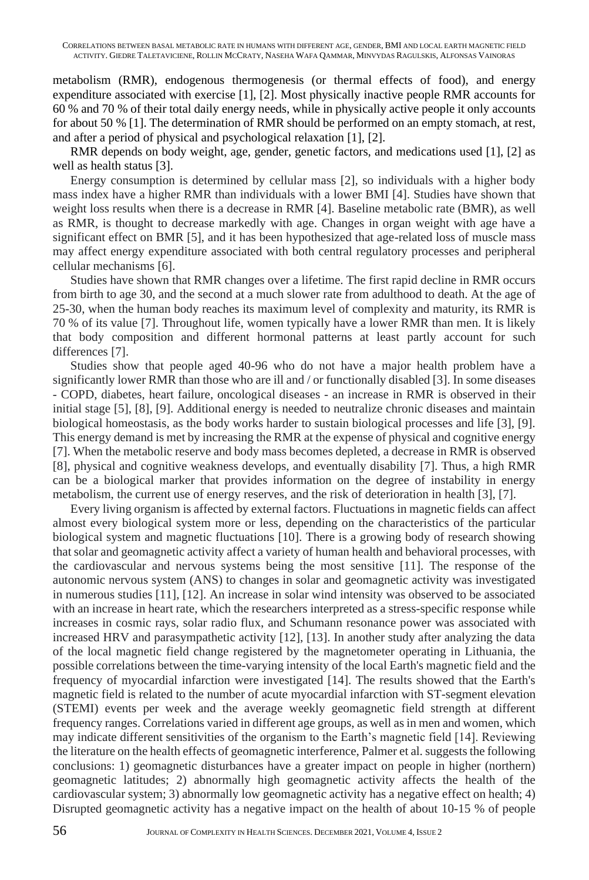metabolism (RMR), endogenous thermogenesis (or thermal effects of food), and energy expenditure associated with exercise [1], [2]. Most physically inactive people RMR accounts for 60 % and 70 % of their total daily energy needs, while in physically active people it only accounts for about 50 % [1]. The determination of RMR should be performed on an empty stomach, at rest, and after a period of physical and psychological relaxation [1], [2].

RMR depends on body weight, age, gender, genetic factors, and medications used [1], [2] as well as health status [3].

Energy consumption is determined by cellular mass [2], so individuals with a higher body mass index have a higher RMR than individuals with a lower BMI [4]. Studies have shown that weight loss results when there is a decrease in RMR [4]. Baseline metabolic rate (BMR), as well as RMR, is thought to decrease markedly with age. Changes in organ weight with age have a significant effect on BMR [5], and it has been hypothesized that age-related loss of muscle mass may affect energy expenditure associated with both central regulatory processes and peripheral cellular mechanisms [6].

Studies have shown that RMR changes over a lifetime. The first rapid decline in RMR occurs from birth to age 30, and the second at a much slower rate from adulthood to death. At the age of 25-30, when the human body reaches its maximum level of complexity and maturity, its RMR is 70 % of its value [7]. Throughout life, women typically have a lower RMR than men. It is likely that body composition and different hormonal patterns at least partly account for such differences [7].

Studies show that people aged 40-96 who do not have a major health problem have a significantly lower RMR than those who are ill and / or functionally disabled [3]. In some diseases - COPD, diabetes, heart failure, oncological diseases - an increase in RMR is observed in their initial stage [5], [8], [9]. Additional energy is needed to neutralize chronic diseases and maintain biological homeostasis, as the body works harder to sustain biological processes and life [3], [9]. This energy demand is met by increasing the RMR at the expense of physical and cognitive energy [7]. When the metabolic reserve and body mass becomes depleted, a decrease in RMR is observed [8], physical and cognitive weakness develops, and eventually disability [7]. Thus, a high RMR can be a biological marker that provides information on the degree of instability in energy metabolism, the current use of energy reserves, and the risk of deterioration in health [3], [7].

Every living organism is affected by external factors. Fluctuations in magnetic fields can affect almost every biological system more or less, depending on the characteristics of the particular biological system and magnetic fluctuations [10]. There is a growing body of research showing that solar and geomagnetic activity affect a variety of human health and behavioral processes, with the cardiovascular and nervous systems being the most sensitive [11]. The response of the autonomic nervous system (ANS) to changes in solar and geomagnetic activity was investigated in numerous studies [11], [12]. An increase in solar wind intensity was observed to be associated with an increase in heart rate, which the researchers interpreted as a stress-specific response while increases in cosmic rays, solar radio flux, and Schumann resonance power was associated with increased HRV and parasympathetic activity [12], [13]. In another study after analyzing the data of the local magnetic field change registered by the magnetometer operating in Lithuania, the possible correlations between the time-varying intensity of the local Earth's magnetic field and the frequency of myocardial infarction were investigated [14]. The results showed that the Earth's magnetic field is related to the number of acute myocardial infarction with ST-segment elevation (STEMI) events per week and the average weekly geomagnetic field strength at different frequency ranges. Correlations varied in different age groups, as well as in men and women, which may indicate different sensitivities of the organism to the Earth's magnetic field [14]. Reviewing the literature on the health effects of geomagnetic interference, Palmer et al. suggests the following conclusions: 1) geomagnetic disturbances have a greater impact on people in higher (northern) geomagnetic latitudes; 2) abnormally high geomagnetic activity affects the health of the cardiovascular system; 3) abnormally low geomagnetic activity has a negative effect on health; 4) Disrupted geomagnetic activity has a negative impact on the health of about 10-15 % of people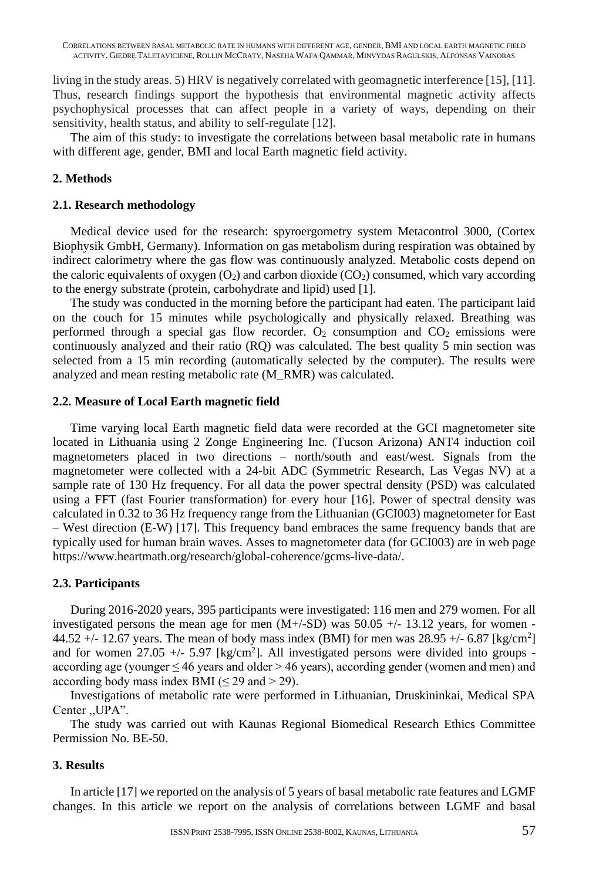living in the study areas. 5) HRV is negatively correlated with geomagnetic interference [15], [11]. Thus, research findings support the hypothesis that environmental magnetic activity affects psychophysical processes that can affect people in a variety of ways, depending on their sensitivity, health status, and ability to self-regulate [12].

The aim of this study: to investigate the correlations between basal metabolic rate in humans with different age, gender, BMI and local Earth magnetic field activity.

# **2. Methods**

### **2.1. Research methodology**

Medical device used for the research: spyroergometry system Metacontrol 3000, (Cortex Biophysik GmbH, Germany). Information on gas metabolism during respiration was obtained by indirect calorimetry where the gas flow was continuously analyzed. Metabolic costs depend on the caloric equivalents of oxygen  $(O_2)$  and carbon dioxide  $(CO_2)$  consumed, which vary according to the energy substrate (protein, carbohydrate and lipid) used [1].

The study was conducted in the morning before the participant had eaten. The participant laid on the couch for 15 minutes while psychologically and physically relaxed. Breathing was performed through a special gas flow recorder.  $O_2$  consumption and  $CO_2$  emissions were continuously analyzed and their ratio (RQ) was calculated. The best quality 5 min section was selected from a 15 min recording (automatically selected by the computer). The results were analyzed and mean resting metabolic rate (M\_RMR) was calculated.

#### **2.2. Measure of Local Earth magnetic field**

Time varying local Earth magnetic field data were recorded at the GCI magnetometer site located in Lithuania using 2 Zonge Engineering Inc. (Tucson Arizona) ANT4 induction coil magnetometers placed in two directions – north/south and east/west. Signals from the magnetometer were collected with a 24-bit ADC (Symmetric Research, Las Vegas NV) at a sample rate of 130 Hz frequency. For all data the power spectral density (PSD) was calculated using a FFT (fast Fourier transformation) for every hour [16]. Power of spectral density was calculated in 0.32 to 36 Hz frequency range from the Lithuanian (GCI003) magnetometer for East – West direction (E-W) [17]. This frequency band embraces the same frequency bands that are typically used for human brain waves. Asses to magnetometer data (for GCI003) are in web page https://www.heartmath.org/research/global-coherence/gcms-live-data/.

### **2.3. Participants**

During 2016-2020 years, 395 participants were investigated: 116 men and 279 women. For all investigated persons the mean age for men  $(M+/SD)$  was 50.05  $+/$ - 13.12 years, for women -44.52  $+/- 12.67$  years. The mean of body mass index (BMI) for men was  $28.95 +/- 6.87$  [kg/cm<sup>2</sup>] and for women  $27.05 +/- 5.97$  [kg/cm<sup>2</sup>]. All investigated persons were divided into groups according age (younger  $\leq 46$  years and older  $> 46$  years), according gender (women and men) and according body mass index BMI ( $\leq$  29 and  $>$  29).

Investigations of metabolic rate were performed in Lithuanian, Druskininkai, Medical SPA Center ,,UPA".

The study was carried out with Kaunas Regional Biomedical Research Ethics Committee Permission No. BE-50.

### **3. Results**

In article [17] we reported on the analysis of 5 years of basal metabolic rate features and LGMF changes. In this article we report on the analysis of correlations between LGMF and basal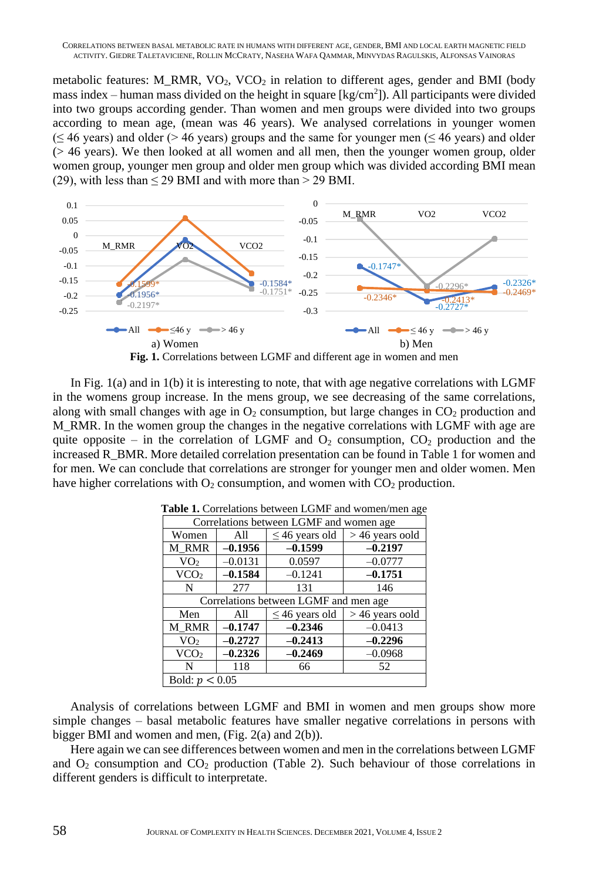metabolic features: M\_RMR,  $VO_2$ ,  $VCO_2$  in relation to different ages, gender and BMI (body mass index  $-$  human mass divided on the height in square  $\text{[kg/cm²]}$ ). All participants were divided into two groups according gender. Than women and men groups were divided into two groups according to mean age, (mean was 46 years). We analysed correlations in younger women  $(\leq 46 \text{ years})$  and older (> 46 years) groups and the same for younger men ( $\leq 46 \text{ years}$ ) and older (> 46 years). We then looked at all women and all men, then the younger women group, older women group, younger men group and older men group which was divided according BMI mean **1a 1b** (29), with less than  $\leq$  29 BMI and with more than  $>$  29 BMI.





In Fig.  $1(a)$  and in  $1(b)$  it is interesting to note, that with age negative correlations with LGMF in the womens group increase. In the mens group, we see decreasing of the same correlations, along with small changes with age in  $O_2$  consumption, but large changes in  $CO_2$  production and M\_RMR. In the women group the changes in the negative correlations with LGMF with age are quite opposite – in the correlation of LGMF and  $O_2$  consumption,  $CO_2$  production and the increased R\_BMR. More detailed correlation presentation can be found in Table 1 for women and for men. We can conclude that correlations are stronger for younger men and older women. Men have higher correlations with  $O_2$  consumption, and women with  $CO_2$  production.  $\mathcal{L}(\alpha)$  and in  $\mathcal{L}(\nu)$  it is interesting

| Correlations between LGMF and women age |           |                     |                   |  |  |
|-----------------------------------------|-----------|---------------------|-------------------|--|--|
| Women                                   | All       | $\leq$ 46 years old | $>46$ years oold  |  |  |
| M RMR                                   | $-0.1956$ | $-0.1599$           | $-0.2197$         |  |  |
| VO <sub>2</sub>                         | $-0.0131$ | 0.0597              | $-0.0777$         |  |  |
| VCO <sub>2</sub>                        | $-0.1584$ | $-0.1241$           | $-0.1751$         |  |  |
| N                                       | 277       | 131                 | 146               |  |  |
| Correlations between LGMF and men age.  |           |                     |                   |  |  |
| Men                                     | All       | $\leq$ 46 years old | $> 46$ years oold |  |  |
| M RMR                                   | $-0.1747$ | $-0.2346$           | $-0.0413$         |  |  |
| VO <sub>2</sub>                         | $-0.2727$ | $-0.2413$           | $-0.2296$         |  |  |
| VCO <sub>2</sub>                        | $-0.2326$ | $-0.2469$           | $-0.0968$         |  |  |
| N                                       | 118       | 66                  | 52                |  |  |
| Bold: $p < 0.05$                        |           |                     |                   |  |  |

Table 1. Correlations between LGMF and women/men age

Analysis of correlations between LGMF and BMI in women and men groups show more simple changes – basal metabolic features have smaller negative correlations in persons with bigger BMI and women and men, (Fig. 2(a) and 2(b)).

Here again we can see differences between women and men in the correlations between LGMF and  $O_2$  consumption and  $CO_2$  production (Table 2). Such behaviour of those correlations in different genders is difficult to interpretate.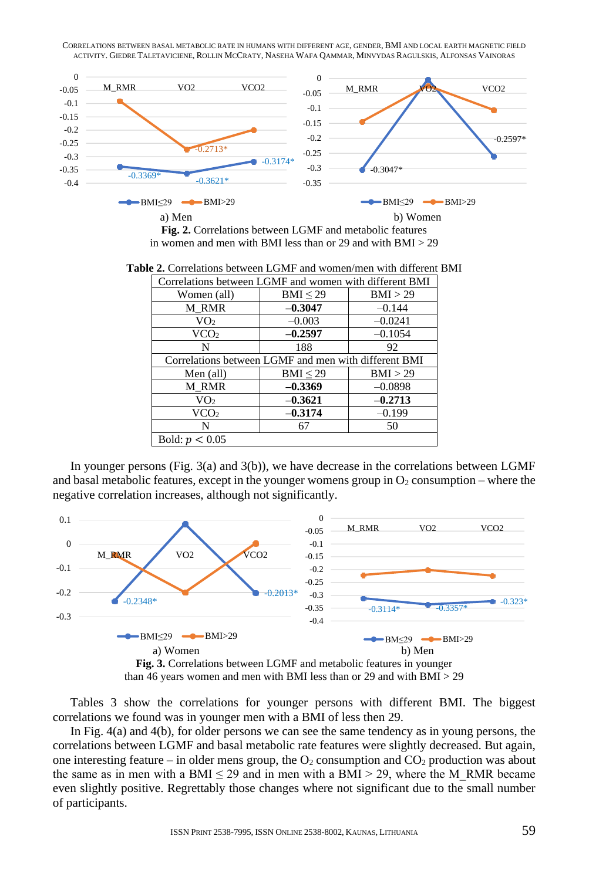CORRELATIONS BETWEEN BASAL METABOLIC RATE IN HUMANS WITH DIFFERENT AGE, GENDER, BMI AND LOCAL EARTH MAGNETIC FIELD **2a 2b** ACTIVITY. GIEDRE TALETAVICIENE, ROLLIN MCCRATY, NASEHA WAFA QAMMAR, MINVYDAS RAGULSKIS, ALFONSAS VAINORAS **Men with different BMI Women with different BMI**



in women and men with BMI less than or 29 and with BMI > 29

|                  | Correlations between LGMF and women with different BMI |           |  |  |  |
|------------------|--------------------------------------------------------|-----------|--|--|--|
| Women (all)      | $BMI \leq 29$                                          | BMI > 29  |  |  |  |
| M RMR            | $-0.3047$                                              | $-0.144$  |  |  |  |
| VO <sub>2</sub>  | $-0.003$                                               | $-0.0241$ |  |  |  |
| VCO <sub>2</sub> | $-0.2597$                                              | $-0.1054$ |  |  |  |
| N                | 188                                                    | 92        |  |  |  |
|                  | Correlations between LGMF and men with different BMI   |           |  |  |  |
| Men (all)        | BMI < 29                                               | BMI > 29  |  |  |  |
| M RMR            | $-0.3369$                                              | $-0.0898$ |  |  |  |
| VO <sub>2</sub>  | $-0.3621$                                              | $-0.2713$ |  |  |  |
| VCO <sub>2</sub> | $-0.3174$                                              | $-0.199$  |  |  |  |
| N                | 67                                                     | 50        |  |  |  |
| Bold: $p < 0.05$ |                                                        |           |  |  |  |

Table 2. Correlations between LGMF and women/men with different BMI

In younger persons (Fig.  $3(a)$  and  $3(b)$ ), we have decrease in the correlations between LGMF and basal metabolic features, except in the younger womens group in  $O_2$  consumption – where the man star metasone reatures, except in the younger women egative correlation increases, although not significantly. **BMI**  $\mathcal{Y}^*$ 



than 46 years women and men with BMI less than or 29 and with BMI > 29

Tables 3 show the correlations for younger persons with different BMI. The biggest correlations we found was in younger men with a BMI of less then 29.

In Fig.  $4(a)$  and  $4(b)$ , for older persons we can see the same tendency as in young persons, the correlations between LGMF and basal metabolic rate features were slightly decreased. But again, one interesting feature – in older mens group, the  $O_2$  consumption and  $CO_2$  production was about the same as in men with a BMI  $\leq$  29 and in men with a BMI  $>$  29, where the M\_RMR became the M\_RMR became even slightly positive. Regrettably those changes where not significant due to the small number of participants.  $\sum_{i=1}^{\infty}$  $\sim$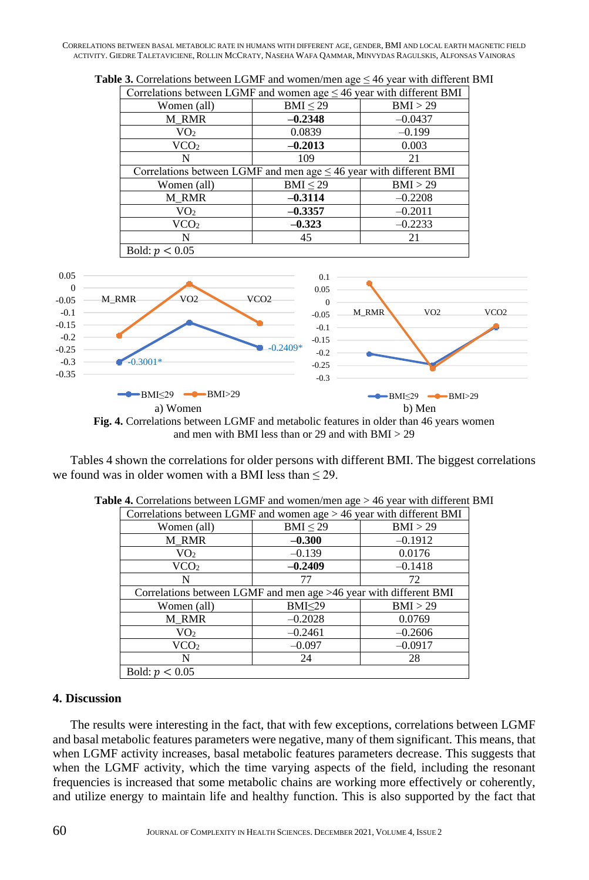CORRELATIONS BETWEEN BASAL METABOLIC RATE IN HUMANS WITH DIFFERENT AGE, GENDER, BMI AND LOCAL EARTH MAGNETIC FIELD ACTIVITY. GIEDRE TALETAVICIENE, ROLLIN MCCRATY, NASEHA WAFA QAMMAR, MINVYDAS RAGULSKIS, ALFONSAS VAINORAS

| Women (all)                                                             | $BMI \leq 29$ | BMI > 29  |  |  |
|-------------------------------------------------------------------------|---------------|-----------|--|--|
| M RMR                                                                   | $-0.2348$     | $-0.0437$ |  |  |
| VO <sub>2</sub>                                                         | 0.0839        | $-0.199$  |  |  |
| VCO <sub>2</sub>                                                        | $-0.2013$     | 0.003     |  |  |
| N                                                                       | 109           | 21        |  |  |
| Correlations between LGMF and men age $\leq$ 46 year with different BMI |               |           |  |  |
| Women (all)                                                             | BMI < 29      | BMI > 29  |  |  |
| M RMR                                                                   | $-0.3114$     | $-0.2208$ |  |  |
| VO <sub>2</sub>                                                         | $-0.3357$     | $-0.2011$ |  |  |
| VCO <sub>2</sub>                                                        | $-0.323$      | $-0.2233$ |  |  |
|                                                                         | 45            | 21        |  |  |

**Table 3.** Correlations between LGMF and women/men age ≤ 46 year with different BMI



Fig. 4. Correlations between LGMF and metabolic features in older than 46 years women and men with BMI less than or 29 and with BMI > 29

Tables 4 shown the correlations for older persons with different BMI. The biggest correlations we found was in older women with a BMI less than  $\leq$  29.

|                  | Correlations between LGMF and women $age > 46$ year with different BMI |           |  |  |  |  |
|------------------|------------------------------------------------------------------------|-----------|--|--|--|--|
| Women (all)      | BMI < 29                                                               | BMI > 29  |  |  |  |  |
| M RMR            | $-0.300$                                                               | $-0.1912$ |  |  |  |  |
| VO <sub>2</sub>  | $-0.139$                                                               | 0.0176    |  |  |  |  |
| VCO <sub>2</sub> | $-0.2409$                                                              | $-0.1418$ |  |  |  |  |
| N                | 77                                                                     | 72        |  |  |  |  |
|                  | Correlations between LGMF and men age $>46$ year with different BMI    |           |  |  |  |  |
| Women (all)      | $BMI \leq 29$                                                          | BMI > 29  |  |  |  |  |
| M RMR            | $-0.2028$                                                              | 0.0769    |  |  |  |  |
| VO <sub>2</sub>  | $-0.2461$                                                              | $-0.2606$ |  |  |  |  |
| VCO <sub>2</sub> | $-0.097$                                                               | $-0.0917$ |  |  |  |  |
| N                | 24                                                                     | 28        |  |  |  |  |
| Bold: $p < 0.05$ |                                                                        |           |  |  |  |  |

#### **4. Discussion**

The results were interesting in the fact, that with few exceptions, correlations between LGMF and basal metabolic features parameters were negative, many of them significant. This means, that when LGMF activity increases, basal metabolic features parameters decrease. This suggests that when the LGMF activity, which the time varying aspects of the field, including the resonant frequencies is increased that some metabolic chains are working more effectively or coherently, and utilize energy to maintain life and healthy function. This is also supported by the fact that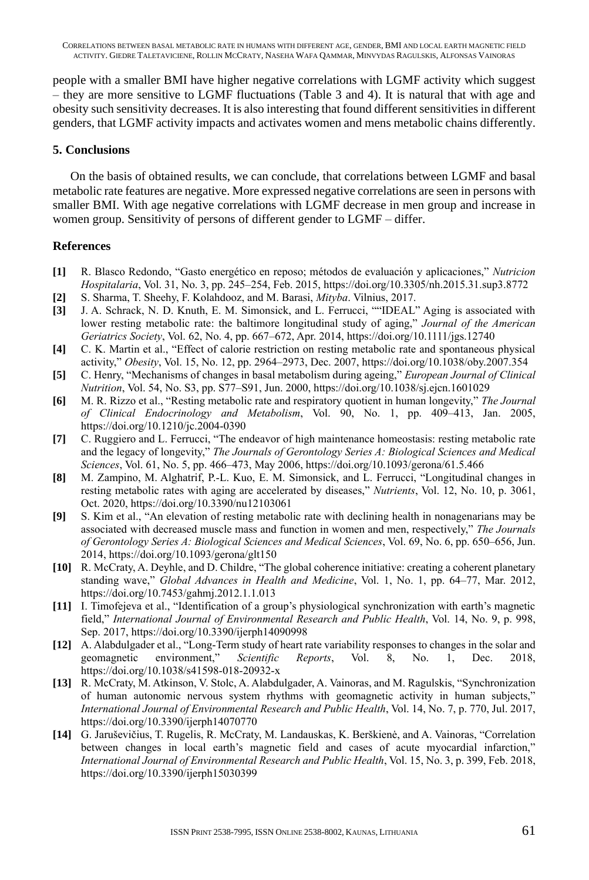people with a smaller BMI have higher negative correlations with LGMF activity which suggest – they are more sensitive to LGMF fluctuations (Table 3 and 4). It is natural that with age and obesity such sensitivity decreases. It is also interesting that found different sensitivities in different genders, that LGMF activity impacts and activates women and mens metabolic chains differently.

## **5. Conclusions**

On the basis of obtained results, we can conclude, that correlations between LGMF and basal metabolic rate features are negative. More expressed negative correlations are seen in persons with smaller BMI. With age negative correlations with LGMF decrease in men group and increase in women group. Sensitivity of persons of different gender to LGMF – differ.

# **References**

- **[1]** R. Blasco Redondo, "Gasto energético en reposo; métodos de evaluación y aplicaciones," *Nutricion Hospitalaria*, Vol. 31, No. 3, pp. 245–254, Feb. 2015, https://doi.org/10.3305/nh.2015.31.sup3.8772
- **[2]** S. Sharma, T. Sheehy, F. Kolahdooz, and M. Barasi, *Mityba*. Vilnius, 2017.
- **[3]** J. A. Schrack, N. D. Knuth, E. M. Simonsick, and L. Ferrucci, ""IDEAL" Aging is associated with lower resting metabolic rate: the baltimore longitudinal study of aging," *Journal of the American Geriatrics Society*, Vol. 62, No. 4, pp. 667–672, Apr. 2014, https://doi.org/10.1111/jgs.12740
- **[4]** C. K. Martin et al., "Effect of calorie restriction on resting metabolic rate and spontaneous physical activity," *Obesity*, Vol. 15, No. 12, pp. 2964–2973, Dec. 2007, https://doi.org/10.1038/oby.2007.354
- **[5]** C. Henry, "Mechanisms of changes in basal metabolism during ageing," *European Journal of Clinical Nutrition*, Vol. 54, No. S3, pp. S77–S91, Jun. 2000, https://doi.org/10.1038/sj.ejcn.1601029
- **[6]** M. R. Rizzo et al., "Resting metabolic rate and respiratory quotient in human longevity," *The Journal of Clinical Endocrinology and Metabolism*, Vol. 90, No. 1, pp. 409–413, Jan. 2005, https://doi.org/10.1210/jc.2004-0390
- **[7]** C. Ruggiero and L. Ferrucci, "The endeavor of high maintenance homeostasis: resting metabolic rate and the legacy of longevity," *The Journals of Gerontology Series A: Biological Sciences and Medical Sciences*, Vol. 61, No. 5, pp. 466–473, May 2006, https://doi.org/10.1093/gerona/61.5.466
- **[8]** M. Zampino, M. Alghatrif, P.-L. Kuo, E. M. Simonsick, and L. Ferrucci, "Longitudinal changes in resting metabolic rates with aging are accelerated by diseases," *Nutrients*, Vol. 12, No. 10, p. 3061, Oct. 2020, https://doi.org/10.3390/nu12103061
- **[9]** S. Kim et al., "An elevation of resting metabolic rate with declining health in nonagenarians may be associated with decreased muscle mass and function in women and men, respectively," *The Journals of Gerontology Series A: Biological Sciences and Medical Sciences*, Vol. 69, No. 6, pp. 650–656, Jun. 2014, https://doi.org/10.1093/gerona/glt150
- **[10]** R. McCraty, A. Deyhle, and D. Childre, "The global coherence initiative: creating a coherent planetary standing wave," *Global Advances in Health and Medicine*, Vol. 1, No. 1, pp. 64–77, Mar. 2012, https://doi.org/10.7453/gahmj.2012.1.1.013
- **[11]** I. Timofejeva et al., "Identification of a group's physiological synchronization with earth's magnetic field," *International Journal of Environmental Research and Public Health*, Vol. 14, No. 9, p. 998, Sep. 2017, https://doi.org/10.3390/ijerph14090998
- **[12]** A. Alabdulgader et al., "Long-Term study of heart rate variability responses to changes in the solar and geomagnetic environment," *Scientific Reports*, Vol. 8, No. 1, Dec. 2018, https://doi.org/10.1038/s41598-018-20932-x
- **[13]** R. McCraty, M. Atkinson, V. Stolc, A. Alabdulgader, A. Vainoras, and M. Ragulskis, "Synchronization of human autonomic nervous system rhythms with geomagnetic activity in human subjects," *International Journal of Environmental Research and Public Health*, Vol. 14, No. 7, p. 770, Jul. 2017, https://doi.org/10.3390/ijerph14070770
- **[14]** G. Jaruševičius, T. Rugelis, R. McCraty, M. Landauskas, K. Berškienė, and A. Vainoras, "Correlation between changes in local earth's magnetic field and cases of acute myocardial infarction," *International Journal of Environmental Research and Public Health*, Vol. 15, No. 3, p. 399, Feb. 2018, https://doi.org/10.3390/ijerph15030399